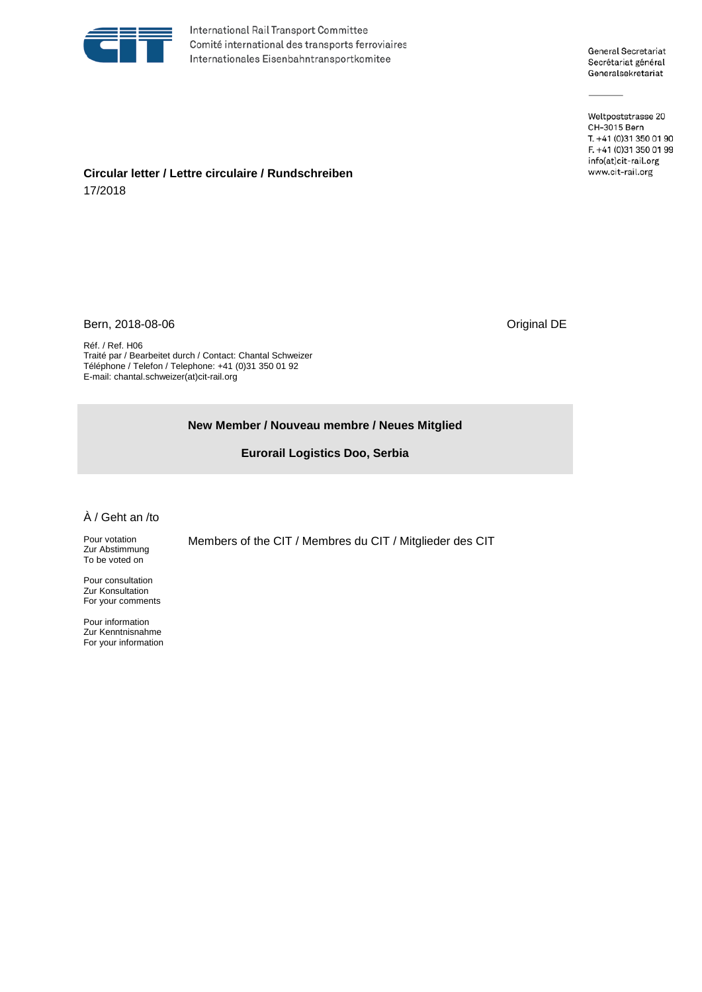

International Rail Transport Committee Comité international des transports ferroviaires Internationales Eisenbahntransportkomitee

General Secretariat Secrétariat général Generalsekretariat

Weltpoststrasse 20 CH-3015 Bern T. +41 (0)31 350 01 90 F. +41 (0)31 350 01 99 info(at)cit-rail.org www.cit-rail.org

## **Circular letter / Lettre circulaire / Rundschreiben** 17/2018

Bern, 2018-08-06 **Driginal DE** 

Réf. / Ref. H06 Traité par / Bearbeitet durch / Contact: Chantal Schweizer Téléphone / Telefon / Telephone: +41 (0)31 350 01 92 E-mail: chantal.schweizer(at)cit-rail.org

## **New Member / Nouveau membre / Neues Mitglied**

**Eurorail Logistics Doo, Serbia**

## À / Geht an /to

Pour votation Zur Abstimmung To be voted on

Pour consultation Zur Konsultation For your comments

Pour information Zur Kenntnisnahme For your information Members of the CIT / Membres du CIT / Mitglieder des CIT